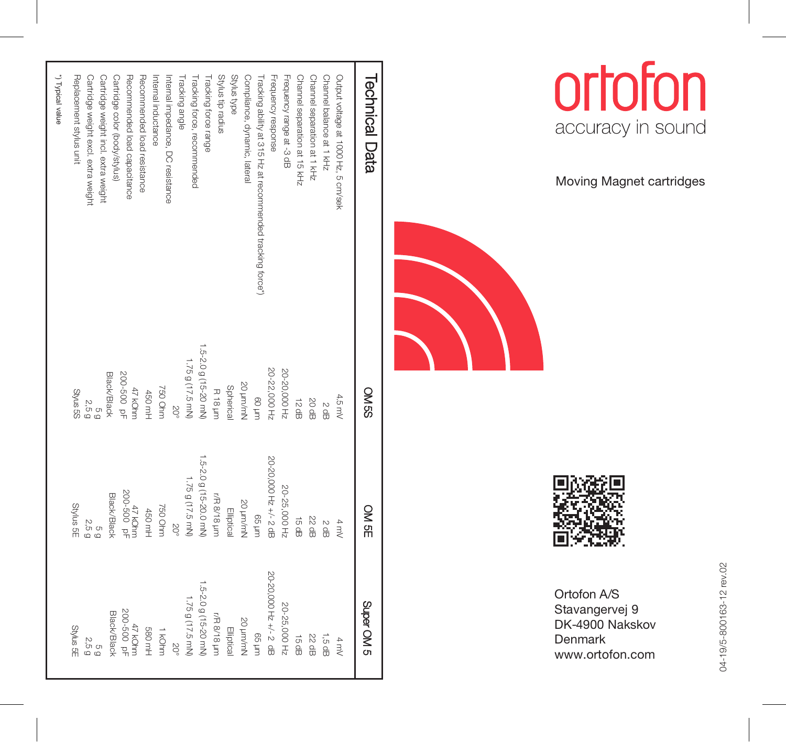| <b>Technical Data</b>                                      | <b>OMSS</b>           | OM 5E                  | S MO AdriS            |
|------------------------------------------------------------|-----------------------|------------------------|-----------------------|
| Output voltage at 1000 Hz, 5 cm/sek                        | 4.5 mV                | 4 mV                   | 4 mV                  |
| Channel balance at 1 kHz                                   | 2 dB                  | 2 dB                   | 1,5 dB                |
| Channel separation at 1 kHz                                | 20 dB                 | 22 dB                  | 22 dB                 |
| Channel separation at 15 kHz                               | 12 dB                 | 15 dB                  | 금<br>윤                |
| Frequency range at -3 dB                                   | 20-20,000 Hz          | 20-25,000 Hz           | 20-25,000 Hz          |
| Frequency response                                         | 20-22,000 Hz          | 20-20,000 Hz +/- 2 dB  | 20-20,000 Hz +/- 2 dB |
| Fracking ability at 315 Hz at recommended tracking force*) | uurl 09               | uuri 99                | uuri 99               |
| Compliance, dynamic, lateral                               | S0 pm/mN              | 20 um/mh               | 20 un/mN              |
| Stylus type                                                | Spherica              | Elliptica              | Elliptical            |
| Stylus tip radius                                          | <b>R18 µm</b>         | r/R 8/18 pm            | r/R 8/18 µm           |
| Tracking force range                                       | 1.5-2.0 g (15-20 mN)  | 1.5-2.0 g (15-20.0 mN) | 5-2.0 g (15-20 mN)    |
| Tracking force, recommended                                | 1.75 g (17.5 mN)      | 1.75 g (17.5 mN)       | 1.75g (17.5 mN)       |
| Fracking angle                                             | δů                    | SO°                    |                       |
| Internal impedance, DC resistance                          |                       |                        |                       |
| ntemal inductance                                          | 750 Ohm               | 750 Ohm                | 1 kohm                |
| Recommended load resistance                                | 450 mH                | 450 mH                 | <b>S80 mH</b>         |
| Recommended load capacitance                               | 200-500 pF<br>47 kOhm | 47 KOhm<br>200-500 pF  | 200-500 pF<br>47 KOhm |
| Cartridge color (body/stylus)                              | <b>Black/Black</b>    | Black/Black            | Black/Black           |
| Cartridge weight incl. extra weight                        | G<br>Q                | o<br>O                 | C                     |
| Cartridge weight excl. extra weight                        |                       | 2.5 g                  | 2,5 g                 |
| Replacement stylus unit                                    | SS sn/kS              | Stylus<br>SE           | <b>Stylus SE</b>      |
| *) Typical value                                           |                       |                        |                       |



Moving Magnet cartridges



Ortofon A/S Stavangervej 9 DK-4900 Nakskov D enmark www.ortofon.com